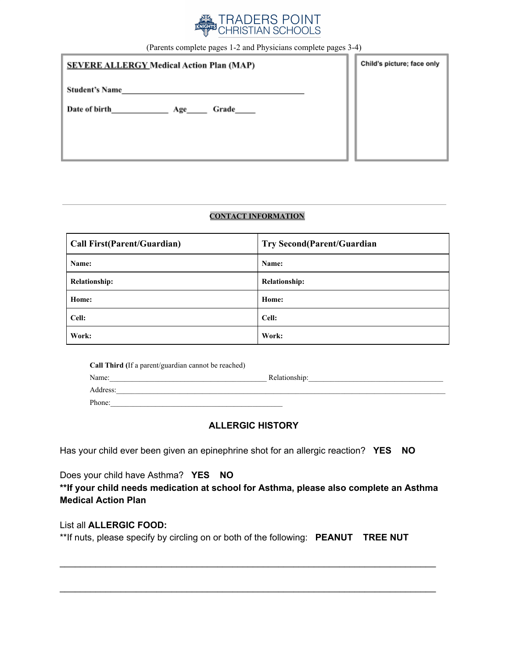

(Parents complete pages 1-2 and Physicians complete pages 3-4)

| <b>SEVERE ALLERGY Medical Action Plan (MAP)</b> | Child's picture; face only |
|-------------------------------------------------|----------------------------|
| <b>Student's Name</b>                           |                            |
| Date of birth<br>Grade_____<br>Age              |                            |
|                                                 |                            |
|                                                 |                            |

#### **CONTACT INFORMATION**

| <b>Call First(Parent/Guardian)</b> | <b>Try Second(Parent/Guardian</b> |
|------------------------------------|-----------------------------------|
| Name:                              | Name:                             |
| <b>Relationship:</b>               | <b>Relationship:</b>              |
| Home:                              | Home:                             |
| Cell:                              | Cell:                             |
| Work:                              | Work:                             |

| <b>Call Third</b> (If a parent/guardian cannot be reached) |               |
|------------------------------------------------------------|---------------|
| Name:                                                      | Relationship: |
| Address:                                                   |               |
| Phone:                                                     |               |

# **ALLERGIC HISTORY**

Has your child ever been given an epinephrine shot for an allergic reaction? **YES NO**

Does your child have Asthma? **YES NO**

**\*\*If your child needs medication at school for Asthma, please also complete an Asthma Medical Action Plan**

\_\_\_\_\_\_\_\_\_\_\_\_\_\_\_\_\_\_\_\_\_\_\_\_\_\_\_\_\_\_\_\_\_\_\_\_\_\_\_\_\_\_\_\_\_\_\_\_\_\_\_\_\_\_\_\_\_\_\_\_\_\_\_\_\_\_\_\_\_\_\_\_\_\_

\_\_\_\_\_\_\_\_\_\_\_\_\_\_\_\_\_\_\_\_\_\_\_\_\_\_\_\_\_\_\_\_\_\_\_\_\_\_\_\_\_\_\_\_\_\_\_\_\_\_\_\_\_\_\_\_\_\_\_\_\_\_\_\_\_\_\_\_\_\_\_\_\_\_

### List all **ALLERGIC FOOD:**

\*\*If nuts, please specify by circling on or both of the following: **PEANUT TREE NUT**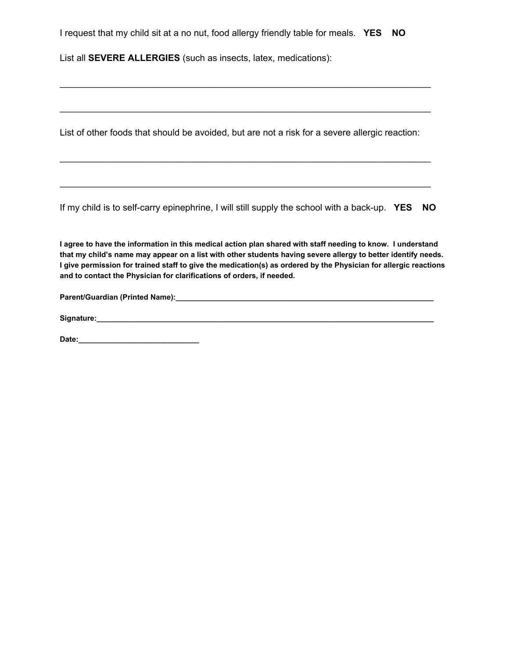I request that my child sit at a no nut, food allergy friendly table for meals. **YES NO**

List all **SEVERE ALLERGIES** (such as insects, latex, medications):

List of other foods that should be avoided, but are not a risk for a severe allergic reaction:

\_\_\_\_\_\_\_\_\_\_\_\_\_\_\_\_\_\_\_\_\_\_\_\_\_\_\_\_\_\_\_\_\_\_\_\_\_\_\_\_\_\_\_\_\_\_\_\_\_\_\_\_\_\_\_\_\_\_\_\_\_\_\_\_\_\_\_\_\_\_\_\_\_

\_\_\_\_\_\_\_\_\_\_\_\_\_\_\_\_\_\_\_\_\_\_\_\_\_\_\_\_\_\_\_\_\_\_\_\_\_\_\_\_\_\_\_\_\_\_\_\_\_\_\_\_\_\_\_\_\_\_\_\_\_\_\_\_\_\_\_\_\_\_\_\_\_

\_\_\_\_\_\_\_\_\_\_\_\_\_\_\_\_\_\_\_\_\_\_\_\_\_\_\_\_\_\_\_\_\_\_\_\_\_\_\_\_\_\_\_\_\_\_\_\_\_\_\_\_\_\_\_\_\_\_\_\_\_\_\_\_\_\_\_\_\_\_\_\_\_

\_\_\_\_\_\_\_\_\_\_\_\_\_\_\_\_\_\_\_\_\_\_\_\_\_\_\_\_\_\_\_\_\_\_\_\_\_\_\_\_\_\_\_\_\_\_\_\_\_\_\_\_\_\_\_\_\_\_\_\_\_\_\_\_\_\_\_\_\_\_\_\_\_

If my child is to self-carry epinephrine, I will still supply the school with a back-up. **YES NO**

**I agree to have the information in this medical action plan shared with staff needing to know. I understand that my child's name may appear on a list with other students having severe allergy to better identify needs. I give permission for trained staff to give the medication(s) as ordered by the Physician for allergic reactions and to contact the Physician for clarifications of orders, if needed.**

**Parent/Guardian (Printed Name):\_\_\_\_\_\_\_\_\_\_\_\_\_\_\_\_\_\_\_\_\_\_\_\_\_\_\_\_\_\_\_\_\_\_\_\_\_\_\_\_\_\_\_\_\_\_\_\_\_\_\_\_\_\_\_\_\_\_\_\_\_\_**

**Date:\_\_\_\_\_\_\_\_\_\_\_\_\_\_\_\_\_\_\_\_\_\_\_\_\_\_\_\_\_**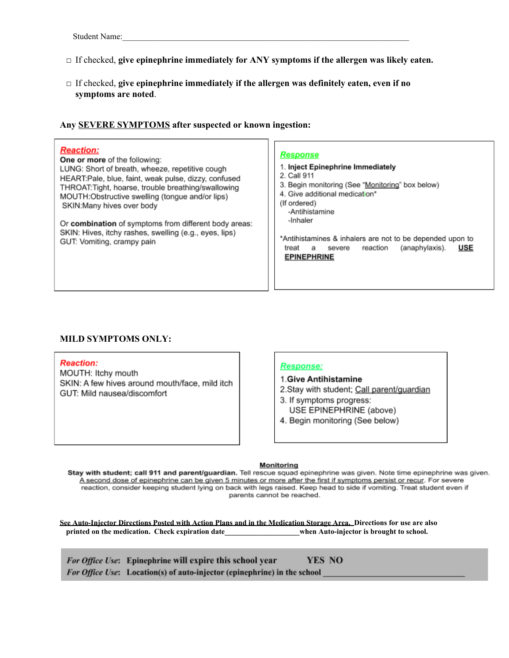- □ If checked, **give epinephrine immediately for ANY symptoms if the allergen was likely eaten.**
- □ If checked, **give epinephrine immediately if the allergen was definitely eaten, even if no symptoms are noted**.

## **Any SEVERE SYMPTOMS after suspected or known ingestion:**

| 1. Inject Epinephrine Immediately<br>3. Begin monitoring (See "Monitoring" box below)<br>4. Give additional medication*<br>-Antihistamine<br>*Antihistamines & inhalers are not to be depended upon to<br><b>USE</b><br>(anaphylaxis).<br>reaction<br>severe<br><b>EPINEPHRINE</b> |
|------------------------------------------------------------------------------------------------------------------------------------------------------------------------------------------------------------------------------------------------------------------------------------|
|                                                                                                                                                                                                                                                                                    |

### **MILD SYMPTOMS ONLY:**

#### **Reaction:**

MOUTH: Itchy mouth SKIN: A few hives around mouth/face, mild itch GUT: Mild nausea/discomfort

#### **Response:**

- 1. Give Antihistamine
- 2. Stay with student; Call parent/quardian
- 3. If symptoms progress: USE EPINEPHRINE (above)
- 4. Begin monitoring (See below)

#### Monitoring

Stay with student; call 911 and parent/guardian. Tell rescue squad epinephrine was given. Note time epinephrine was given. A second dose of epinephrine can be given 5 minutes or more after the first if symptoms persist or recur. For severe reaction, consider keeping student lying on back with legs raised. Keep head to side if vomiting. Treat student even if parents cannot be reached.

**See Auto-Injector Directions Posted with Action Plans and in the Medication Storage Area. Directions for use are also** printed on the medication. Check expiration date **when Auto-injector is brought to school.** 

For Office Use: Epinephrine will expire this school year **YES NO** For Office Use: Location(s) of auto-injector (epinephrine) in the school